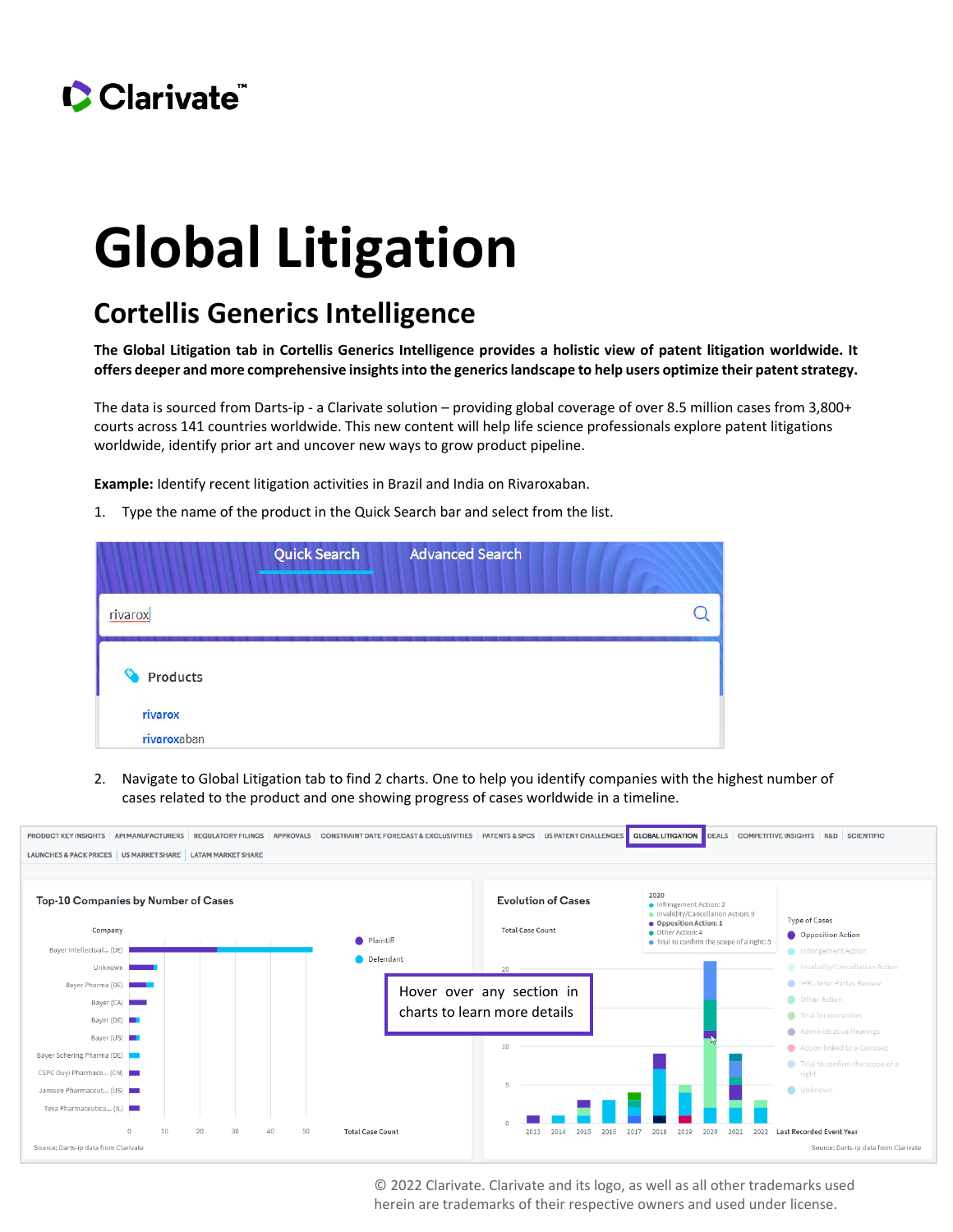

## **Global Litigation**

## **Cortellis Generics Intelligence**

**The Global Litigation tab in Cortellis Generics Intelligence provides a holistic view of patent litigation worldwide. It offers deeper and more comprehensive insights into the generics landscape to help users optimize their patent strategy.** 

The data is sourced from Darts-ip - a Clarivate solution – providing global coverage of over 8.5 million cases from 3,800+ courts across 141 countries worldwide. This new content will help life science professionals explore patent litigations worldwide, identify prior art and uncover new ways to grow product pipeline.

**Example:** Identify recent litigation activities in Brazil and India on Rivaroxaban.

1. Type the name of the product in the Quick Search bar and select from the list.

|                          | <b>Quick Search</b> | <b>Advanced Search</b> |  |
|--------------------------|---------------------|------------------------|--|
| rivarox                  |                     |                        |  |
| Products<br>Θ<br>rivarox |                     |                        |  |
| rivaroxaban              |                     |                        |  |

2. Navigate to Global Litigation tab to find 2 charts. One to help you identify companies with the highest number of cases related to the product and one showing progress of cases worldwide in a timeline.



© 2022 Clarivate. Clarivate and its logo, as well as all other trademarks used herein are trademarks of their respective owners and used under license.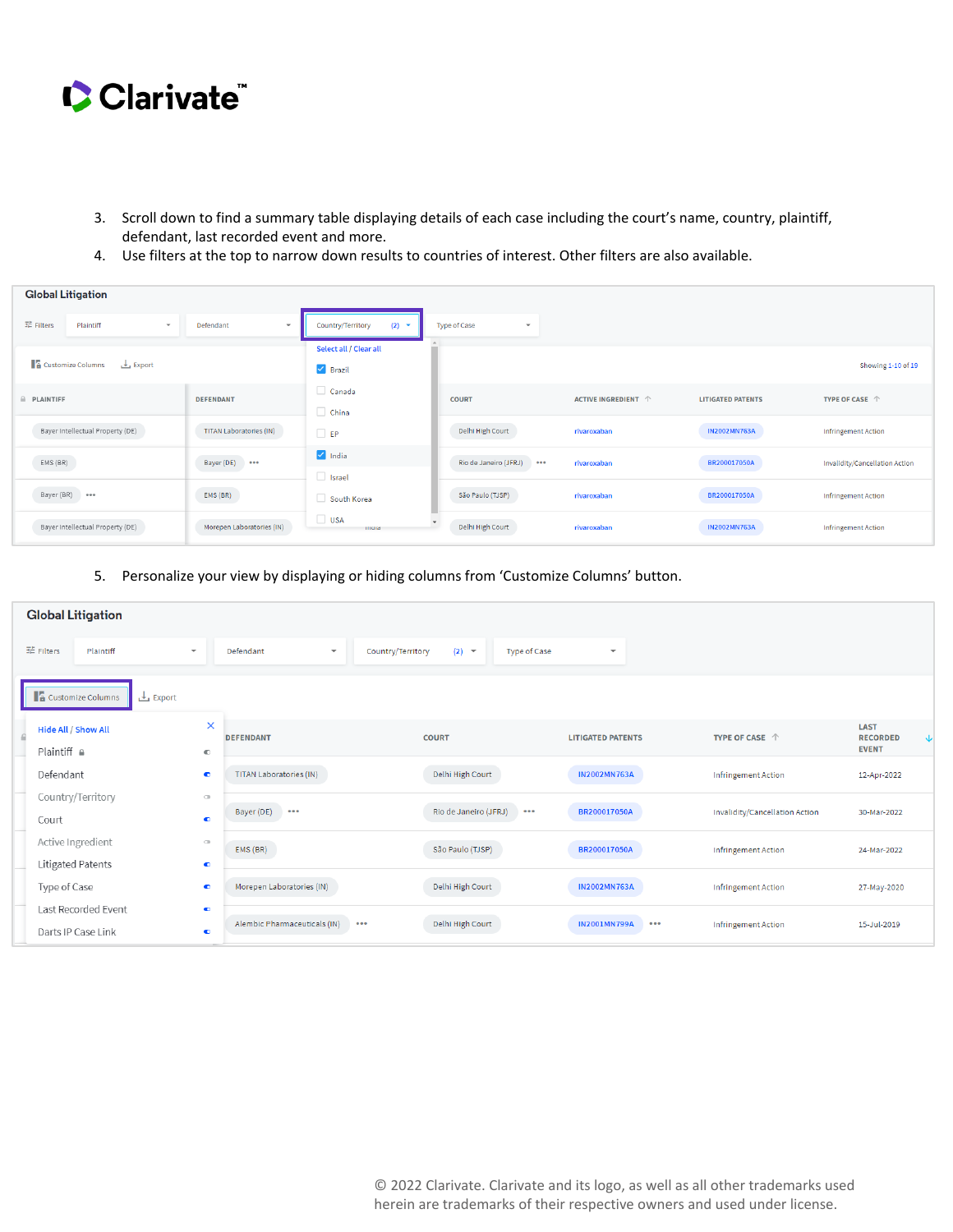

- 3. Scroll down to find a summary table displaying details of each case including the court's name, country, plaintiff, defendant, last recorded event and more.
- 4. Use filters at the top to narrow down results to countries of interest. Other filters are also available.

| <b>Global Litigation</b>                           |                                       |                                                        |                                              |                              |                          |                                |  |  |
|----------------------------------------------------|---------------------------------------|--------------------------------------------------------|----------------------------------------------|------------------------------|--------------------------|--------------------------------|--|--|
| 辈 Filters<br>Plaintiff<br>$\overline{\phantom{0}}$ | Defendant<br>$\overline{\phantom{a}}$ | Country/Territory<br>(2)<br>$\overline{\phantom{a}}$   | <b>Type of Case</b><br>$\checkmark$          |                              |                          |                                |  |  |
| <b>1</b> Customize Columns<br>$\frac{1}{2}$ Export |                                       | Select all / Clear all<br>$\blacktriangleright$ Brazil |                                              |                              |                          | Showing 1-10 of 19             |  |  |
| A PLAINTIFF                                        | <b>DEFENDANT</b>                      | Canada<br>$\Box$ China                                 | <b>COURT</b>                                 | ACTIVE INGREDIENT $\uparrow$ | <b>LITIGATED PATENTS</b> | TYPE OF CASE $\ \ \Uparrow$    |  |  |
| Bayer Intellectual Property (DE)                   | <b>TITAN Laboratories (IN)</b>        | $\Box$ EP                                              | Delhi High Court                             | rivaroxaban                  | <b>IN2002MN763A</b>      | <b>Infringement Action</b>     |  |  |
| EMS (BR)                                           | Bayer (DE)<br>$\cdots$                | $\sqrt{\phantom{a}}$ India<br>$\Box$ Israel            | Rio de Janeiro (JFRJ) ***                    | rivaroxaban                  | BR200017050A             | Invalidity/Cancellation Action |  |  |
| Bayer (BR) ***                                     | EMS (BR)                              | South Korea                                            | São Paulo (TJSP)                             | rivaroxaban                  | BR200017050A             | <b>Infringement Action</b>     |  |  |
| Bayer Intellectual Property (DE)                   | Morepen Laboratories (IN)             | $\Box$ USA<br>mura                                     | $\overline{\phantom{0}}$<br>Delhi High Court | rivaroxaban                  | <b>IN2002MN763A</b>      | <b>Infringement Action</b>     |  |  |

5. Personalize your view by displaying or hiding columns from 'Customize Columns' button.

| <b>Global Litigation</b>                      |                                 |                                      |                   |                       |                         |                          |                         |                                |                                                |   |
|-----------------------------------------------|---------------------------------|--------------------------------------|-------------------|-----------------------|-------------------------|--------------------------|-------------------------|--------------------------------|------------------------------------------------|---|
| 辈 Filters<br>Plaintiff                        | $\mathbf{v}$                    | Defendant<br>$\overline{\mathbf{v}}$ | Country/Territory | $(2)$ –               | Type of Case            | $\overline{\phantom{a}}$ |                         |                                |                                                |   |
| <b>A</b> Customize Columns<br>Export          |                                 |                                      |                   |                       |                         |                          |                         |                                |                                                |   |
| Hide All / Show All<br>Plaintiff <sup>a</sup> | $\times$<br>$\hbox{C}$          | <b>DEFENDANT</b>                     |                   | <b>COURT</b>          |                         | <b>LITIGATED PATENTS</b> |                         | TYPE OF CASE $\ \Uparrow$      | <b>LAST</b><br><b>RECORDED</b><br><b>EVENT</b> | ↓ |
| Defendant                                     | $\bullet$                       | TITAN Laboratories (IN)              |                   | Delhi High Court      |                         | <b>IN2002MN763A</b>      |                         | Infringement Action            | 12-Apr-2022                                    |   |
| Country/Territory<br>Court                    | $\subset$<br>$\bullet$          | Bayer (DE)<br>$-$                    |                   | Rio de Janeiro (JFRJ) | $\bullet\bullet\bullet$ | BR200017050A             |                         | Invalidity/Cancellation Action | 30-Mar-2022                                    |   |
| Active Ingredient<br>Litigated Patents        | $\scriptstyle\Box$<br>$\bullet$ | EMS (BR)                             |                   | São Paulo (TJSP)      |                         | BR200017050A             |                         | <b>Infringement Action</b>     | 24-Mar-2022                                    |   |
| Type of Case                                  | $\bullet$                       | Morepen Laboratories (IN)            |                   | Delhi High Court      |                         | <b>IN2002MN763A</b>      |                         | <b>Infringement Action</b>     | 27-May-2020                                    |   |
| Last Recorded Event<br>Darts IP Case Link     | $\bullet$<br>$\bullet$          | Alembic Pharmaceuticals (IN)         | 000               | Delhi High Court      |                         | <b>IN2001MN799A</b>      | $\bullet\bullet\bullet$ | Infringement Action            | 15-Jul-2019                                    |   |